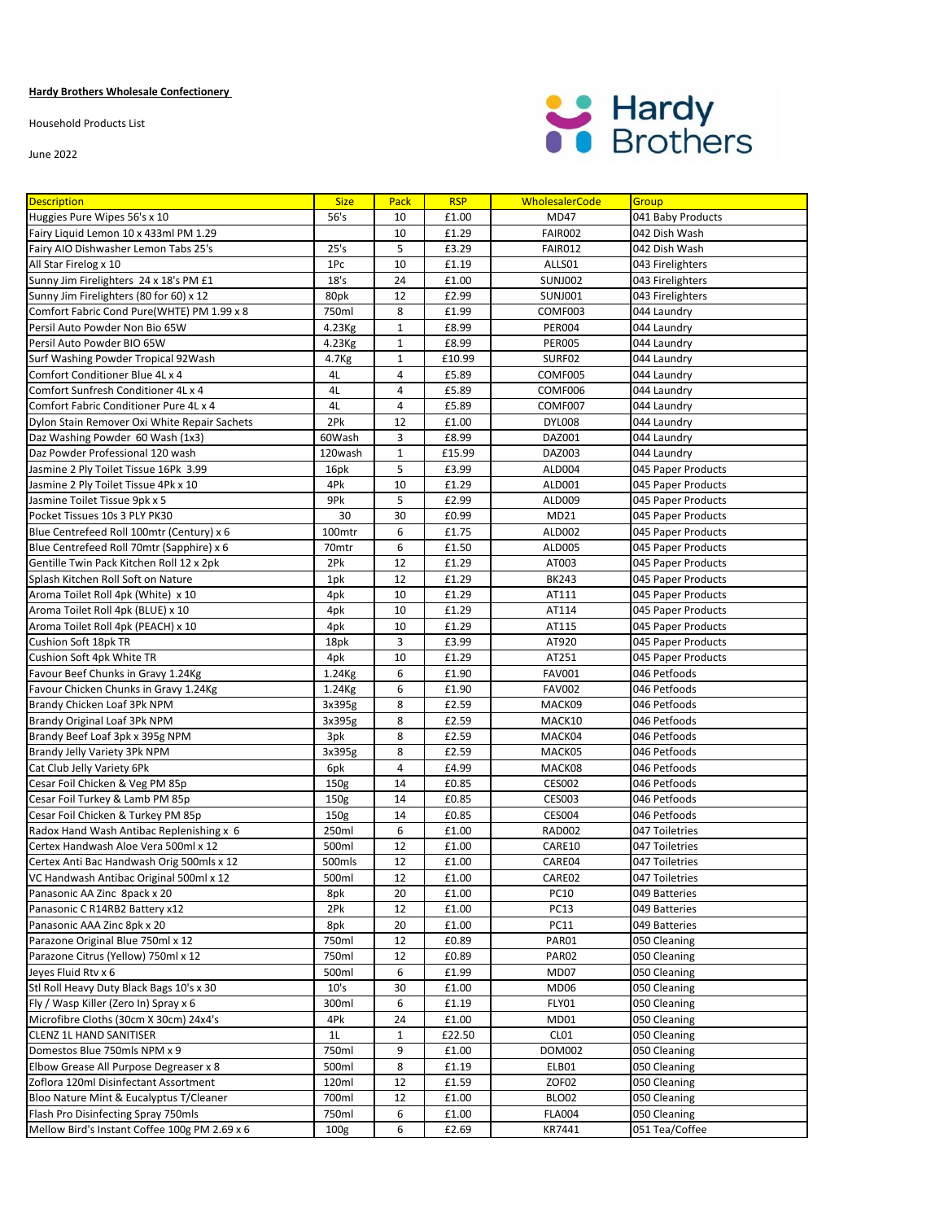## **Hardy Brothers Wholesale Confectionery**

Household Products List

June 2022



| <b>Description</b>                                                     | <b>Size</b>       | Pack         | <b>RSP</b>     | <b>WholesalerCode</b> | Group                        |
|------------------------------------------------------------------------|-------------------|--------------|----------------|-----------------------|------------------------------|
| Huggies Pure Wipes 56's x 10                                           | 56's              | 10           | £1.00          | MD47                  | 041 Baby Products            |
| Fairy Liquid Lemon 10 x 433ml PM 1.29                                  |                   | 10           | £1.29          | FAIR002               | 042 Dish Wash                |
| Fairy AIO Dishwasher Lemon Tabs 25's                                   | 25's              | 5            | £3.29          | FAIR012               | 042 Dish Wash                |
| All Star Firelog x 10                                                  | 1Pc               | 10           | £1.19          | ALLS01                | 043 Firelighters             |
| Sunny Jim Firelighters 24 x 18's PM £1                                 | 18's              | 24           | £1.00          | <b>SUNJ002</b>        | 043 Firelighters             |
| Sunny Jim Firelighters (80 for 60) x 12                                | 80pk              | 12           | £2.99          | <b>SUNJ001</b>        | 043 Firelighters             |
| Comfort Fabric Cond Pure(WHTE) PM 1.99 x 8                             | 750ml             | 8            | £1.99          | COMF003               | 044 Laundry                  |
| Persil Auto Powder Non Bio 65W                                         | 4.23Kg            | $\mathbf{1}$ | £8.99          | <b>PER004</b>         | 044 Laundry                  |
| Persil Auto Powder BIO 65W                                             | 4.23Kg            | $\mathbf{1}$ | £8.99          | <b>PER005</b>         | 044 Laundry                  |
| Surf Washing Powder Tropical 92Wash                                    | 4.7 <sub>Kg</sub> | $\mathbf{1}$ | £10.99         | SURF02                | 044 Laundry                  |
| Comfort Conditioner Blue 4L x 4                                        | 4L                | 4            | £5.89          | COMF005               | 044 Laundry                  |
| Comfort Sunfresh Conditioner 4L x 4                                    | 4L                | 4            | £5.89          | COMF006               | 044 Laundry                  |
| Comfort Fabric Conditioner Pure 4L x 4                                 | 4L                | 4            | £5.89          | COMF007               | 044 Laundry                  |
| Dylon Stain Remover Oxi White Repair Sachets                           | 2Pk               | 12           | £1.00          | <b>DYL008</b>         | 044 Laundry                  |
| Daz Washing Powder 60 Wash (1x3)                                       | 60Wash            | 3            | £8.99          | DAZ001                | 044 Laundry                  |
| Daz Powder Professional 120 wash                                       | 120wash           | $\mathbf{1}$ | £15.99         | DAZ003                | 044 Laundry                  |
| Jasmine 2 Ply Toilet Tissue 16Pk 3.99                                  | 16pk              | 5            | £3.99          | ALD004                | 045 Paper Products           |
| Jasmine 2 Ply Toilet Tissue 4Pk x 10                                   | 4Pk               | 10           | £1.29          | ALD001                | 045 Paper Products           |
| Jasmine Toilet Tissue 9pk x 5                                          | 9Pk               | 5            | £2.99          | ALD009                | 045 Paper Products           |
| Pocket Tissues 10s 3 PLY PK30                                          | 30                | 30           | £0.99          | MD21                  | 045 Paper Products           |
| Blue Centrefeed Roll 100mtr (Century) x 6                              | 100mtr            | 6            | £1.75          | ALD002                | 045 Paper Products           |
| Blue Centrefeed Roll 70mtr (Sapphire) x 6                              | 70mtr             | 6            | £1.50          | <b>ALD005</b>         | 045 Paper Products           |
| Gentille Twin Pack Kitchen Roll 12 x 2pk                               | 2Pk               | 12           | £1.29          | AT003                 | 045 Paper Products           |
| Splash Kitchen Roll Soft on Nature                                     | 1pk               | 12           | £1.29          | <b>BK243</b>          | 045 Paper Products           |
| Aroma Toilet Roll 4pk (White) x 10                                     | 4pk               | 10           | £1.29          | AT111                 | 045 Paper Products           |
| Aroma Toilet Roll 4pk (BLUE) x 10                                      | 4pk               | 10           | £1.29          | AT114                 | 045 Paper Products           |
| Aroma Toilet Roll 4pk (PEACH) x 10                                     | 4pk               | 10           | £1.29          | AT115                 | 045 Paper Products           |
| Cushion Soft 18pk TR                                                   | 18pk              | 3            | £3.99          | AT920                 | 045 Paper Products           |
| Cushion Soft 4pk White TR                                              | 4pk               | 10           | £1.29          | AT251                 | 045 Paper Products           |
| Favour Beef Chunks in Gravy 1.24Kg                                     | 1.24Kg            | 6            | £1.90          | <b>FAV001</b>         | 046 Petfoods                 |
| Favour Chicken Chunks in Gravy 1.24Kg                                  | 1.24Kg            | 6            | £1.90          | <b>FAV002</b>         | 046 Petfoods                 |
| Brandy Chicken Loaf 3Pk NPM                                            | 3x395g            | 8            | £2.59          | MACK09                | 046 Petfoods                 |
| Brandy Original Loaf 3Pk NPM                                           | 3x395g            | 8            | £2.59          | MACK10                | 046 Petfoods                 |
| Brandy Beef Loaf 3pk x 395g NPM                                        | 3pk               | 8            | £2.59          | MACK04                | 046 Petfoods                 |
| Brandy Jelly Variety 3Pk NPM                                           | 3x395g            | 8            | £2.59          | MACK05                | 046 Petfoods                 |
| Cat Club Jelly Variety 6Pk                                             | 6pk               | 4            | £4.99          | MACK08                | 046 Petfoods                 |
| Cesar Foil Chicken & Veg PM 85p                                        | 150g              | 14           | £0.85          | <b>CES002</b>         | 046 Petfoods                 |
| Cesar Foil Turkey & Lamb PM 85p                                        | 150 <sub>g</sub>  | 14           | £0.85          | <b>CES003</b>         | 046 Petfoods                 |
| Cesar Foil Chicken & Turkey PM 85p                                     | 150 <sub>g</sub>  | 14           | £0.85          | <b>CES004</b>         | 046 Petfoods                 |
| Radox Hand Wash Antibac Replenishing x 6                               | 250ml             | 6            | £1.00          | <b>RAD002</b>         | 047 Toiletries               |
| Certex Handwash Aloe Vera 500ml x 12                                   | 500ml             | 12           | £1.00          | CARE10                | 047 Toiletries               |
| Certex Anti Bac Handwash Orig 500mls x 12                              | 500mls            | 12           | £1.00          | CARE04                | 047 Toiletries               |
| VC Handwash Antibac Original 500ml x 12                                | 500ml             | 12           | £1.00          | CARE02                | 047 Toiletries               |
| Panasonic AA Zinc 8pack x 20                                           | 8pk               | 20           | £1.00          | <b>PC10</b>           | 049 Batteries                |
| Panasonic C R14RB2 Battery x12                                         | 2Pk               | 12           | £1.00          | <b>PC13</b>           | 049 Batteries                |
| Panasonic AAA Zinc 8pk x 20                                            | 8pk               | 20           | £1.00          | <b>PC11</b>           | 049 Batteries                |
| Parazone Original Blue 750ml x 12                                      | 750ml             | 12           | £0.89          | PAR01                 | 050 Cleaning                 |
| Parazone Citrus (Yellow) 750ml x 12                                    | 750ml             | 12           | £0.89          | PAR02                 | 050 Cleaning                 |
| Jeyes Fluid Rtv x 6                                                    | 500ml             | 6            | £1.99          | MD07                  | 050 Cleaning                 |
| Stl Roll Heavy Duty Black Bags 10's x 30                               | 10's              | 30           | £1.00          | MD06                  | 050 Cleaning                 |
| Fly / Wasp Killer (Zero In) Spray x 6                                  | 300ml             | 6            | £1.19          | FLY01                 | 050 Cleaning                 |
| Microfibre Cloths (30cm X 30cm) 24x4's                                 | 4Pk               | 24           | £1.00          | MD01                  | 050 Cleaning                 |
| CLENZ 1L HAND SANITISER                                                | 1L                | $\mathbf{1}$ | £22.50         | CL01                  | 050 Cleaning                 |
| Domestos Blue 750mls NPM x 9<br>Elbow Grease All Purpose Degreaser x 8 | 750ml             | 9<br>8       | £1.00          | DOM002                | 050 Cleaning                 |
| Zoflora 120ml Disinfectant Assortment                                  | 500ml             |              | £1.19<br>£1.59 | ELB01<br>ZOF02        | 050 Cleaning                 |
| Bloo Nature Mint & Eucalyptus T/Cleaner                                | 120ml<br>700ml    | 12           |                | BLO02                 | 050 Cleaning<br>050 Cleaning |
| Flash Pro Disinfecting Spray 750mls                                    | 750ml             | 12<br>6      | £1.00<br>£1.00 | <b>FLA004</b>         | 050 Cleaning                 |
| Mellow Bird's Instant Coffee 100g PM 2.69 x 6                          | 100g              | 6            | £2.69          | KR7441                | 051 Tea/Coffee               |
|                                                                        |                   |              |                |                       |                              |